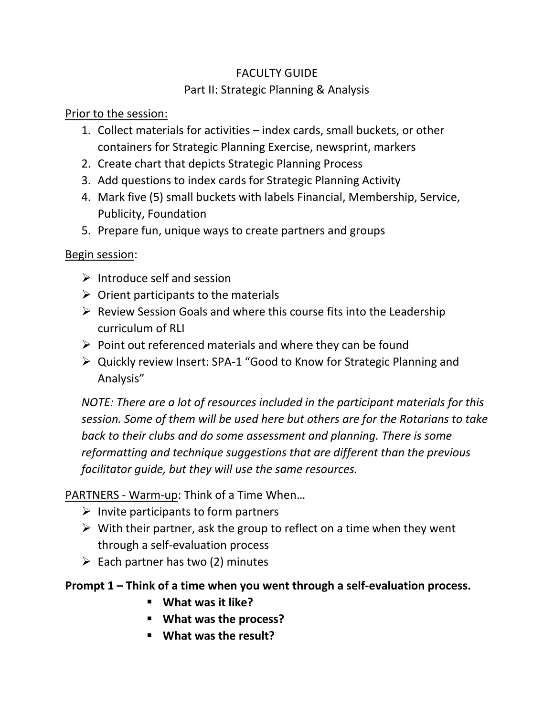# FACULTY GUIDE Part II: Strategic Planning & Analysis

Prior to the session:

- 1. Collect materials for activities index cards, small buckets, or other containers for Strategic Planning Exercise, newsprint, markers
- 2. Create chart that depicts Strategic Planning Process
- 3. Add questions to index cards for Strategic Planning Activity
- 4. Mark five (5) small buckets with labels Financial, Membership, Service, Publicity, Foundation
- 5. Prepare fun, unique ways to create partners and groups

Begin session:

- $\triangleright$  Introduce self and session
- $\triangleright$  Orient participants to the materials
- $\triangleright$  Review Session Goals and where this course fits into the Leadership curriculum of RLI
- $\triangleright$  Point out referenced materials and where they can be found
- ➢ Quickly review Insert: SPA-1 "Good to Know for Strategic Planning and Analysis"

*NOTE: There are a lot of resources included in the participant materials for this session. Some of them will be used here but others are for the Rotarians to take back to their clubs and do some assessment and planning. There is some reformatting and technique suggestions that are different than the previous facilitator guide, but they will use the same resources.*

PARTNERS - Warm-up: Think of a Time When…

- $\triangleright$  Invite participants to form partners
- $\triangleright$  With their partner, ask the group to reflect on a time when they went through a self-evaluation process
- $\triangleright$  Each partner has two (2) minutes

# **Prompt 1 – Think of a time when you went through a self-evaluation process.**

- **What was it like?**
- **What was the process?**
- **What was the result?**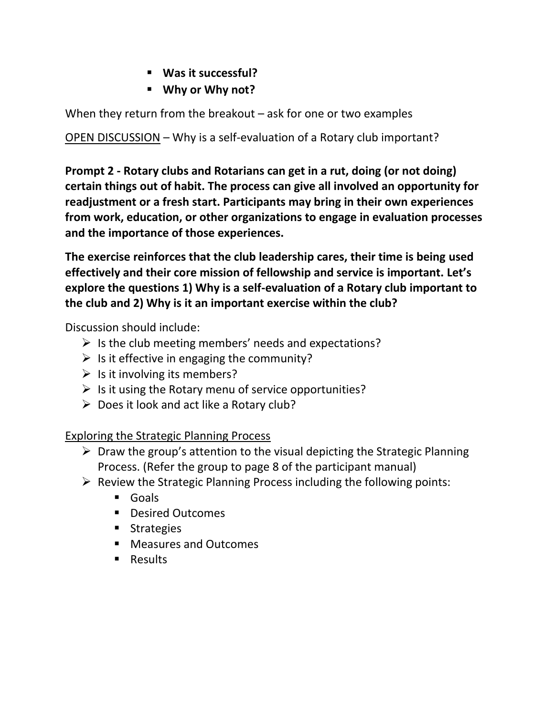- **Was it successful?**
- **Why or Why not?**

When they return from the breakout  $-$  ask for one or two examples

OPEN DISCUSSION – Why is a self-evaluation of a Rotary club important?

**Prompt 2 - Rotary clubs and Rotarians can get in a rut, doing (or not doing) certain things out of habit. The process can give all involved an opportunity for readjustment or a fresh start. Participants may bring in their own experiences from work, education, or other organizations to engage in evaluation processes and the importance of those experiences.** 

**The exercise reinforces that the club leadership cares, their time is being used effectively and their core mission of fellowship and service is important. Let's explore the questions 1) Why is a self-evaluation of a Rotary club important to the club and 2) Why is it an important exercise within the club?**

Discussion should include:

- $\triangleright$  Is the club meeting members' needs and expectations?
- $\triangleright$  Is it effective in engaging the community?
- $\triangleright$  Is it involving its members?
- $\triangleright$  Is it using the Rotary menu of service opportunities?
- $\triangleright$  Does it look and act like a Rotary club?

Exploring the Strategic Planning Process

- ➢ Draw the group's attention to the visual depicting the Strategic Planning Process. (Refer the group to page 8 of the participant manual)
- $\triangleright$  Review the Strategic Planning Process including the following points:
	- Goals
	- Desired Outcomes
	- Strategies
	- Measures and Outcomes
	- Results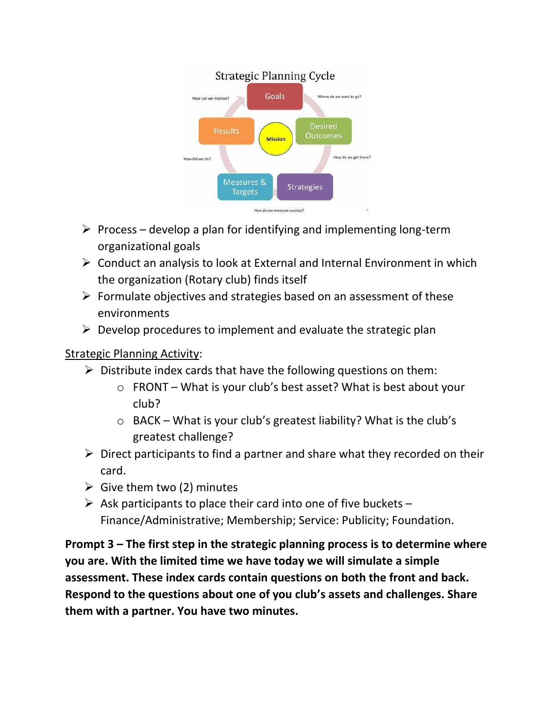#### **Strategic Planning Cycle** Goals Where do we want to go? How can we improve? **Desired** Outcomes **Mission** How do we get there? How did we do? Measures & **Strategies Targets** How do we measure success?

- $\triangleright$  Process develop a plan for identifying and implementing long-term organizational goals
- ➢ Conduct an analysis to look at External and Internal Environment in which the organization (Rotary club) finds itself
- $\triangleright$  Formulate objectives and strategies based on an assessment of these environments
- $\triangleright$  Develop procedures to implement and evaluate the strategic plan

# Strategic Planning Activity:

- $\triangleright$  Distribute index cards that have the following questions on them:
	- $\circ$  FRONT What is your club's best asset? What is best about your club?
	- $\circ$  BACK What is your club's greatest liability? What is the club's greatest challenge?
- $\triangleright$  Direct participants to find a partner and share what they recorded on their card.
- $\triangleright$  Give them two (2) minutes
- $\triangleright$  Ask participants to place their card into one of five buckets Finance/Administrative; Membership; Service: Publicity; Foundation.

**Prompt 3 – The first step in the strategic planning process is to determine where you are. With the limited time we have today we will simulate a simple assessment. These index cards contain questions on both the front and back. Respond to the questions about one of you club's assets and challenges. Share them with a partner. You have two minutes.**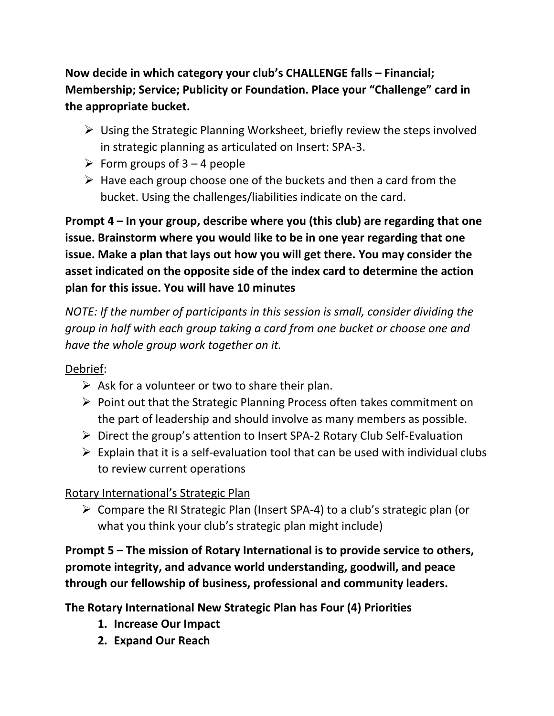**Now decide in which category your club's CHALLENGE falls – Financial; Membership; Service; Publicity or Foundation. Place your "Challenge" card in the appropriate bucket.** 

- ➢ Using the Strategic Planning Worksheet, briefly review the steps involved in strategic planning as articulated on Insert: SPA-3.
- $\triangleright$  Form groups of 3 4 people
- $\triangleright$  Have each group choose one of the buckets and then a card from the bucket. Using the challenges/liabilities indicate on the card.

**Prompt 4 – In your group, describe where you (this club) are regarding that one issue. Brainstorm where you would like to be in one year regarding that one issue. Make a plan that lays out how you will get there. You may consider the asset indicated on the opposite side of the index card to determine the action plan for this issue. You will have 10 minutes**

*NOTE: If the number of participants in this session is small, consider dividing the group in half with each group taking a card from one bucket or choose one and have the whole group work together on it.* 

## Debrief:

- $\triangleright$  Ask for a volunteer or two to share their plan.
- ➢ Point out that the Strategic Planning Process often takes commitment on the part of leadership and should involve as many members as possible.
- ➢ Direct the group's attention to Insert SPA-2 Rotary Club Self-Evaluation
- $\triangleright$  Explain that it is a self-evaluation tool that can be used with individual clubs to review current operations

## Rotary International's Strategic Plan

➢ Compare the RI Strategic Plan (Insert SPA-4) to a club's strategic plan (or what you think your club's strategic plan might include)

**Prompt 5 – The mission of Rotary International is to provide service to others, promote integrity, and advance world understanding, goodwill, and peace through our fellowship of business, professional and community leaders.** 

**The Rotary International New Strategic Plan has Four (4) Priorities**

- **1. Increase Our Impact**
- **2. Expand Our Reach**